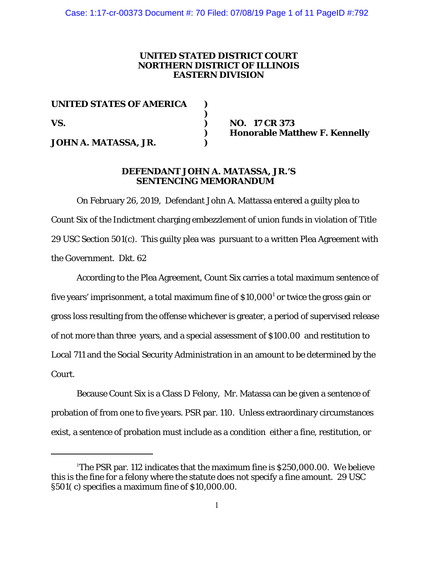### **UNITED STATED DISTRICT COURT NORTHERN DISTRICT OF ILLINOIS EASTERN DIVISION**

**UNITED STATES OF AMERICA )** VS. (*VS.* (*VS.* (*VS.* (*VS.* (*VS.* (*VS.* (*VS.* (*V)* (*VS.* (*V)* (*V)* (*V)* (*V)* (*V)* (*V)* (*V)* (*V)* (*V)* (*V)* (*V)* (*V)* (*V)* (*V)* (*V)* (*V)* (*V)* (*V)* (*V)* (*V)* (*V)* (*V)* (*V)* (*V)* (*V)* (*V)* **JOHN A. MATASSA, JR. )**

**) Honorable Matthew F. Kennelly** 

### **DEFENDANT JOHN A. MATASSA, JR.'S SENTENCING MEMORANDUM**

**)**

On February 26, 2019, Defendant John A. Mattassa entered a guilty plea to Count Six of the Indictment charging embezzlement of union funds in violation of Title 29 USC Section 501(c). This guilty plea was pursuant to a written Plea Agreement with the Government. Dkt. 62

According to the Plea Agreement, Count Six carries a total maximum sentence of five years' imprisonment, a total maximum fine of  $\$10,\!000^1$  or twice the gross gain or gross loss resulting from the offense whichever is greater, a period of supervised release of not more than three years, and a special assessment of \$100.00 and restitution to Local 711 and the Social Security Administration in an amount to be determined by the Court.

Because Count Six is a Class D Felony, Mr. Matassa can be given a sentence of probation of from one to five years. PSR par. 110. Unless extraordinary circumstances exist, a sentence of probation must include as a condition either a fine, restitution, or

<sup>&</sup>lt;sup>1</sup>The PSR par. 112 indicates that the maximum fine is \$250,000.00. We believe this is the fine for a felony where the statute does not specify a fine amount. 29 USC §501( c) specifies a maximum fine of \$10,000.00.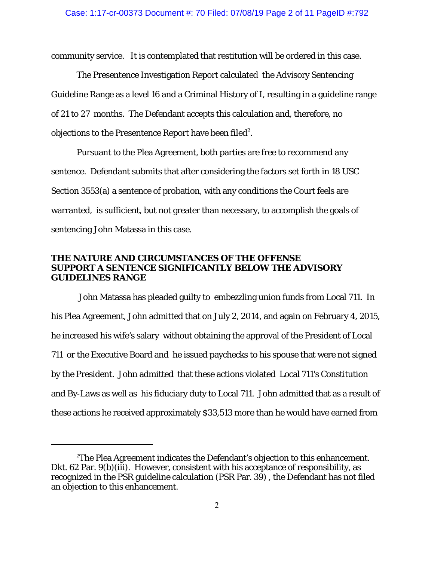community service. It is contemplated that restitution will be ordered in this case.

The Presentence Investigation Report calculated the Advisory Sentencing Guideline Range as a level 16 and a Criminal History of I, resulting in a guideline range of 21 to 27 months. The Defendant accepts this calculation and, therefore, no objections to the Presentence Report have been filed<sup>2</sup>.

 Pursuant to the Plea Agreement, both parties are free to recommend any sentence. Defendant submits that after considering the factors set forth in 18 USC Section 3553(a) a sentence of probation, with any conditions the Court feels are warranted, is sufficient, but not greater than necessary, to accomplish the goals of sentencing John Matassa in this case.

# **THE NATURE AND CIRCUMSTANCES OF THE OFFENSE SUPPORT A SENTENCE SIGNIFICANTLY BELOW THE ADVISORY GUIDELINES RANGE**

 John Matassa has pleaded guilty to embezzling union funds from Local 711. In his Plea Agreement, John admitted that on July 2, 2014, and again on February 4, 2015, he increased his wife's salary without obtaining the approval of the President of Local 711 or the Executive Board and he issued paychecks to his spouse that were not signed by the President. John admitted that these actions violated Local 711's Constitution and By-Laws as well as his fiduciary duty to Local 711. John admitted that as a result of these actions he received approximately \$33,513 more than he would have earned from

<sup>2</sup> The Plea Agreement indicates the Defendant's objection to this enhancement. Dkt. 62 Par. 9(b)(iii). However, consistent with his acceptance of responsibility, as recognized in the PSR guideline calculation (PSR Par. 39) , the Defendant has not filed an objection to this enhancement.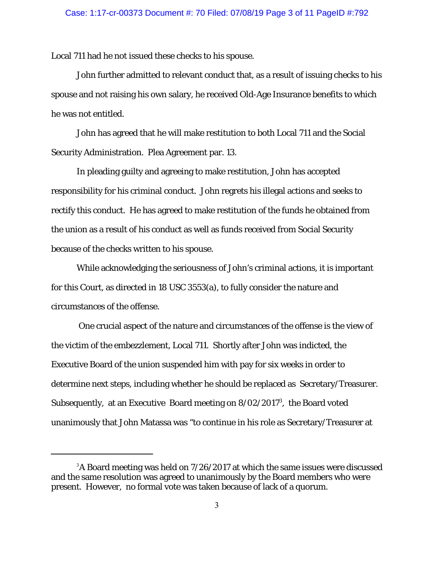Local 711 had he not issued these checks to his spouse.

John further admitted to relevant conduct that, as a result of issuing checks to his spouse and not raising his own salary, he received Old-Age Insurance benefits to which he was not entitled.

John has agreed that he will make restitution to both Local 711 and the Social Security Administration. Plea Agreement par. 13.

In pleading guilty and agreeing to make restitution, John has accepted responsibility for his criminal conduct. John regrets his illegal actions and seeks to rectify this conduct. He has agreed to make restitution of the funds he obtained from the union as a result of his conduct as well as funds received from Social Security because of the checks written to his spouse.

While acknowledging the seriousness of John's criminal actions, it is important for this Court, as directed in 18 USC 3553(a), to fully consider the nature and circumstances of the offense.

 One crucial aspect of the nature and circumstances of the offense is the view of the victim of the embezzlement, Local 711. Shortly after John was indicted, the Executive Board of the union suspended him with pay for six weeks in order to determine next steps, including whether he should be replaced as Secretary/Treasurer. Subsequently, at an Executive Board meeting on 8/02/2017<sup>3</sup>, the Board voted unanimously that John Matassa was "to continue in his role as Secretary/Treasurer at

 $3$ A Board meeting was held on  $7/26/2017$  at which the same issues were discussed and the same resolution was agreed to unanimously by the Board members who were present. However, no formal vote was taken because of lack of a quorum.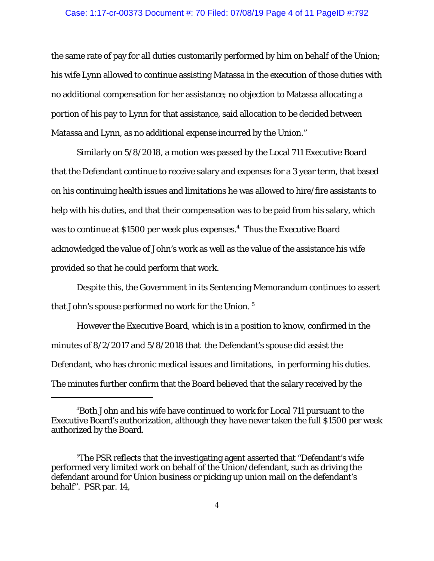#### Case: 1:17-cr-00373 Document #: 70 Filed: 07/08/19 Page 4 of 11 PageID #:792

the same rate of pay for all duties customarily performed by him on behalf of the Union; his wife Lynn allowed to continue assisting Matassa in the execution of those duties with no additional compensation for her assistance; no objection to Matassa allocating a portion of his pay to Lynn for that assistance, said allocation to be decided between Matassa and Lynn, as no additional expense incurred by the Union."

Similarly on 5/8/2018, a motion was passed by the Local 711 Executive Board that the Defendant continue to receive salary and expenses for a 3 year term, that based on his continuing health issues and limitations he was allowed to hire/fire assistants to help with his duties, and that their compensation was to be paid from his salary, which was to continue at \$1500 per week plus expenses.<sup>4</sup> Thus the Executive Board acknowledged the value of John's work as well as the value of the assistance his wife provided so that he could perform that work.

Despite this, the Government in its Sentencing Memorandum continues to assert that John's spouse performed no work for the Union. <sup>5</sup>

However the Executive Board, which is in a position to know, confirmed in the minutes of 8/2/2017 and 5/8/2018 that the Defendant's spouse did assist the Defendant, who has chronic medical issues and limitations, in performing his duties. The minutes further confirm that the Board believed that the salary received by the

<sup>4</sup> Both John and his wife have continued to work for Local 711 pursuant to the Executive Board's authorization, although they have never taken the full \$1500 per week authorized by the Board.

<sup>5</sup> The PSR reflects that the investigating agent asserted that "Defendant's wife performed very limited work on behalf of the Union/defendant, such as driving the defendant around for Union business or picking up union mail on the defendant's behalf". PSR par. 14,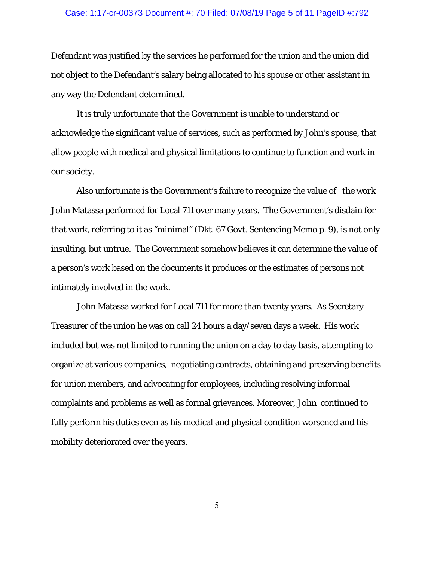#### Case: 1:17-cr-00373 Document #: 70 Filed: 07/08/19 Page 5 of 11 PageID #:792

Defendant was justified by the services he performed for the union and the union did not object to the Defendant's salary being allocated to his spouse or other assistant in any way the Defendant determined.

It is truly unfortunate that the Government is unable to understand or acknowledge the significant value of services, such as performed by John's spouse, that allow people with medical and physical limitations to continue to function and work in our society.

Also unfortunate is the Government's failure to recognize the value of the work John Matassa performed for Local 711 over many years. The Government's disdain for that work, referring to it as "minimal" (Dkt. 67 Govt. Sentencing Memo p. 9), is not only insulting, but untrue. The Government somehow believes it can determine the value of a person's work based on the documents it produces or the estimates of persons not intimately involved in the work.

 John Matassa worked for Local 711 for more than twenty years. As Secretary Treasurer of the union he was on call 24 hours a day/seven days a week. His work included but was not limited to running the union on a day to day basis, attempting to organize at various companies, negotiating contracts, obtaining and preserving benefits for union members, and advocating for employees, including resolving informal complaints and problems as well as formal grievances. Moreover, John continued to fully perform his duties even as his medical and physical condition worsened and his mobility deteriorated over the years.

5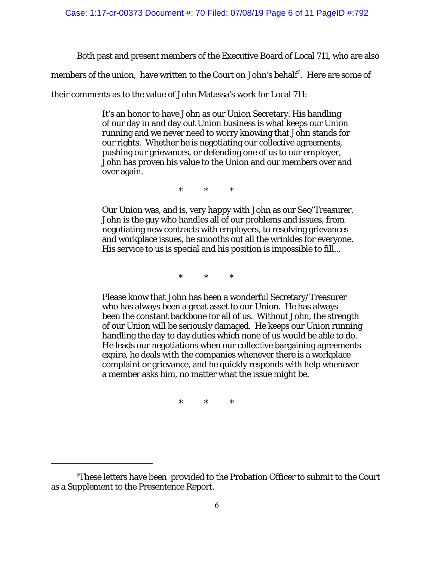Both past and present members of the Executive Board of Local 711, who are also

members of the union,have written to the Court on John's behalf<sup>6</sup>. Here are some of

their comments as to the value of John Matassa's work for Local 711:

It's an honor to have John as our Union Secretary. His handling of our day in and day out Union business is what keeps our Union running and we never need to worry knowing that John stands for our rights. Whether he is negotiating our collective agreements, pushing our grievances, or defending one of us to our employer, John has proven his value to the Union and our members over and over again.

\*\*\*

Our Union was, and is, very happy with John as our Sec/Treasurer. John is the guy who handles all of our problems and issues, from negotiating new contracts with employers, to resolving grievances and workplace issues, he smooths out all the wrinkles for everyone. His service to us is special and his position is impossible to fill...

\*\*\*

Please know that John has been a wonderful Secretary/Treasurer who has always been a great asset to our Union. He has always been the constant backbone for all of us. Without John, the strength of our Union will be seriously damaged. He keeps our Union running handling the day to day duties which none of us would be able to do. He leads our negotiations when our collective bargaining agreements expire, he deals with the companies whenever there is a workplace complaint or grievance, and he quickly responds with help whenever a member asks him, no matter what the issue might be.

**\*\*\***

<sup>6</sup> These letters have been provided to the Probation Officer to submit to the Court as a Supplement to the Presentence Report.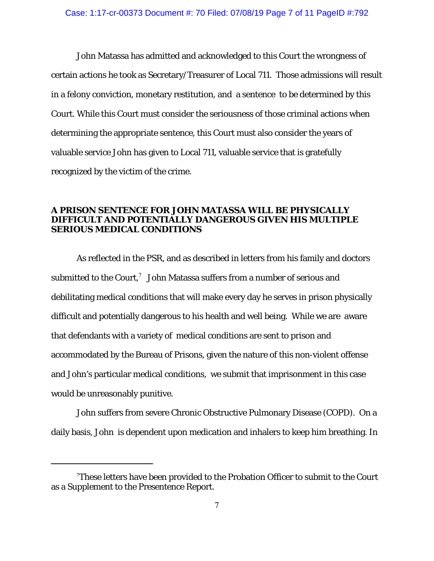John Matassa has admitted and acknowledged to this Court the wrongness of certain actions he took as Secretary/Treasurer of Local 711. Those admissions will result in a felony conviction, monetary restitution, and a sentence to be determined by this Court. While this Court must consider the seriousness of those criminal actions when determining the appropriate sentence, this Court must also consider the years of valuable service John has given to Local 711, valuable service that is gratefully recognized by the victim of the crime.

# **A PRISON SENTENCE FOR JOHN MATASSA WILL BE PHYSICALLY DIFFICULT AND POTENTIALLY DANGEROUS GIVEN HIS MULTIPLE SERIOUS MEDICAL CONDITIONS**

As reflected in the PSR, and as described in letters from his family and doctors submitted to the Court, $^7\:$  John Matassa suffers from a number of serious and debilitating medical conditions that will make every day he serves in prison physically difficult and potentially dangerous to his health and well being. While we are aware that defendants with a variety of medical conditions are sent to prison and accommodated by the Bureau of Prisons, given the nature of this non-violent offense and John's particular medical conditions, we submit that imprisonment in this case would be unreasonably punitive.

John suffers from severe Chronic Obstructive Pulmonary Disease (COPD). On a daily basis, John is dependent upon medication and inhalers to keep him breathing. In

<sup>7</sup> These letters have been provided to the Probation Officer to submit to the Court as a Supplement to the Presentence Report.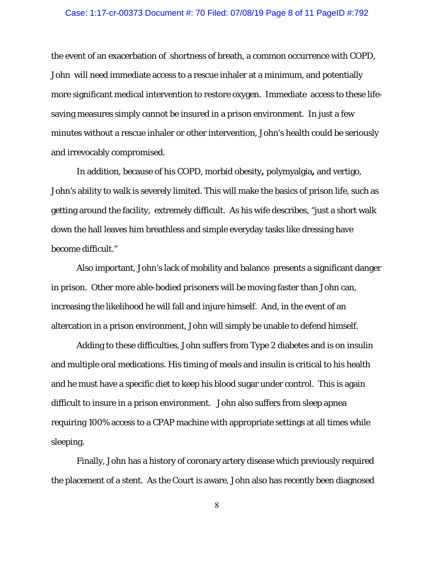#### Case: 1:17-cr-00373 Document #: 70 Filed: 07/08/19 Page 8 of 11 PageID #:792

the event of an exacerbation of shortness of breath, a common occurrence with COPD, John will need immediate access to a rescue inhaler at a minimum, and potentially more significant medical intervention to restore oxygen. Immediate access to these lifesaving measures simply cannot be insured in a prison environment. In just a few minutes without a rescue inhaler or other intervention, John's health could be seriously and irrevocably compromised.

In addition, because of his COPD, morbid obesity**,** polymyalgia**,** and vertigo, John's ability to walk is severely limited. This will make the basics of prison life, such as getting around the facility, extremely difficult. As his wife describes, "just a short walk down the hall leaves him breathless and simple everyday tasks like dressing have become difficult."

Also important, John's lack of mobility and balance presents a significant danger in prison. Other more able-bodied prisoners will be moving faster than John can, increasing the likelihood he will fall and injure himself. And, in the event of an altercation in a prison environment, John will simply be unable to defend himself.

Adding to these difficulties, John suffers from Type 2 diabetes and is on insulin and multiple oral medications. His timing of meals and insulin is critical to his health and he must have a specific diet to keep his blood sugar under control. This is again difficult to insure in a prison environment. John also suffers from sleep apnea requiring 100% access to a CPAP machine with appropriate settings at all times while sleeping.

Finally, John has a history of coronary artery disease which previously required the placement of a stent. As the Court is aware, John also has recently been diagnosed

8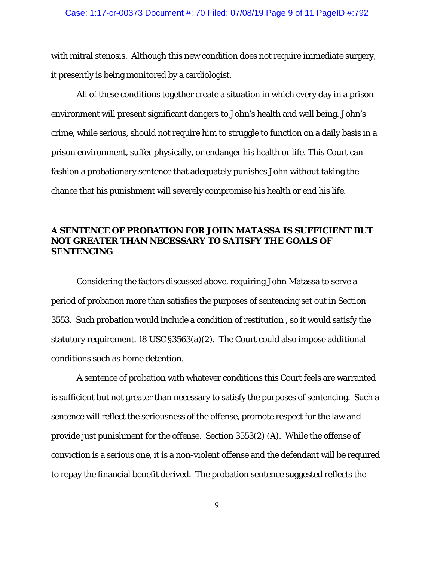with mitral stenosis. Although this new condition does not require immediate surgery, it presently is being monitored by a cardiologist.

All of these conditions together create a situation in which every day in a prison environment will present significant dangers to John's health and well being. John's crime, while serious, should not require him to struggle to function on a daily basis in a prison environment, suffer physically, or endanger his health or life. This Court can fashion a probationary sentence that adequately punishes John without taking the chance that his punishment will severely compromise his health or end his life.

# **A SENTENCE OF PROBATION FOR JOHN MATASSA IS SUFFICIENT BUT NOT GREATER THAN NECESSARY TO SATISFY THE GOALS OF SENTENCING**

Considering the factors discussed above, requiring John Matassa to serve a period of probation more than satisfies the purposes of sentencing set out in Section 3553. Such probation would include a condition of restitution , so it would satisfy the statutory requirement. 18 USC §3563(a)(2). The Court could also impose additional conditions such as home detention.

A sentence of probation with whatever conditions this Court feels are warranted is sufficient but not greater than necessary to satisfy the purposes of sentencing. Such a sentence will reflect the seriousness of the offense, promote respect for the law and provide just punishment for the offense. *Section 3553(2) (A).* While the offense of conviction is a serious one, it is a non-violent offense and the defendant will be required to repay the financial benefit derived. The probation sentence suggested reflects the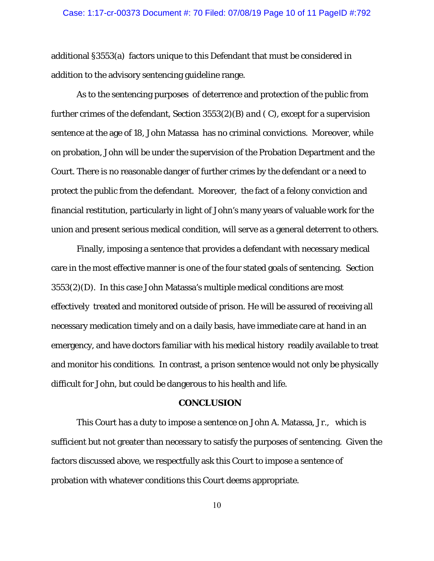additional §3553(a) factors unique to this Defendant that must be considered in addition to the advisory sentencing guideline range.

As to the sentencing purposes of deterrence and protection of the public from further crimes of the defendant, *Section 3553(2)(B) and ( C),* except for a supervision sentence at the age of 18, John Matassa has no criminal convictions. Moreover, while on probation, John will be under the supervision of the Probation Department and the Court. There is no reasonable danger of further crimes by the defendant or a need to protect the public from the defendant. Moreover, the fact of a felony conviction and financial restitution, particularly in light of John's many years of valuable work for the union and present serious medical condition, will serve as a general deterrent to others.

 Finally, imposing a sentence that provides a defendant with necessary medical care in the most effective manner is one of the four stated goals of sentencing. *Section 3553(2)(D).* In this case John Matassa's multiple medical conditions are most effectively treated and monitored outside of prison. He will be assured of receiving all necessary medication timely and on a daily basis, have immediate care at hand in an emergency, and have doctors familiar with his medical history readily available to treat and monitor his conditions. In contrast, a prison sentence would not only be physically difficult for John, but could be dangerous to his health and life.

#### **CONCLUSION**

This Court has a duty to impose a sentence on John A. Matassa, Jr., which is sufficient but not greater than necessary to satisfy the purposes of sentencing. Given the factors discussed above, we respectfully ask this Court to impose a sentence of probation with whatever conditions this Court deems appropriate.